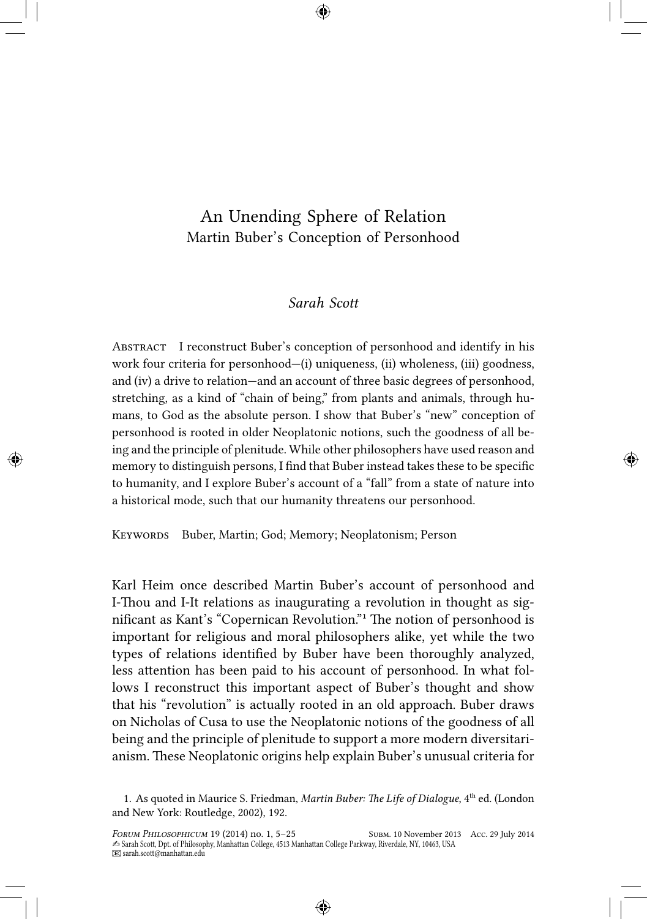# An Unending Sphere of Relation Martin Buber's Conception of Personhood

# *Sarah Scott*

Abstract I reconstruct Buber's conception of personhood and identify in his work four criteria for personhood—(i) uniqueness, (ii) wholeness, (iii) goodness, and (iv) a drive to relation—and an account of three basic degrees of personhood, stretching, as a kind of "chain of being," from plants and animals, through humans, to God as the absolute person. I show that Buber's "new" conception of personhood is rooted in older Neoplatonic notions, such the goodness of all being and the principle of plenitude. While other philosophers have used reason and memory to distinguish persons, I find that Buber instead takes these to be specific to humanity, and I explore Buber's account of a "fall" from a state of nature into a historical mode, such that our humanity threatens our personhood.

KEYWORDS Buber, Martin; God; Memory; Neoplatonism; Person

Karl Heim once described Martin Buber's account of personhood and I-Thou and I-It relations as inaugurating a revolution in thought as significant as Kant's "Copernican Revolution." The notion of personhood is important for religious and moral philosophers alike, yet while the two types of relations identified by Buber have been thoroughly analyzed, less attention has been paid to his account of personhood. In what follows I reconstruct this important aspect of Buber's thought and show that his "revolution" is actually rooted in an old approach. Buber draws on Nicholas of Cusa to use the Neoplatonic notions of the goodness of all being and the principle of plenitude to support a more modern diversitarianism. These Neoplatonic origins help explain Buber's unusual criteria for

<sup>1.</sup> As quoted in Maurice S. Friedman, *Martin Buber: The Life of Dialogue*, 4ᵗʰ ed. (London and New York: Routledge, 2002), 192.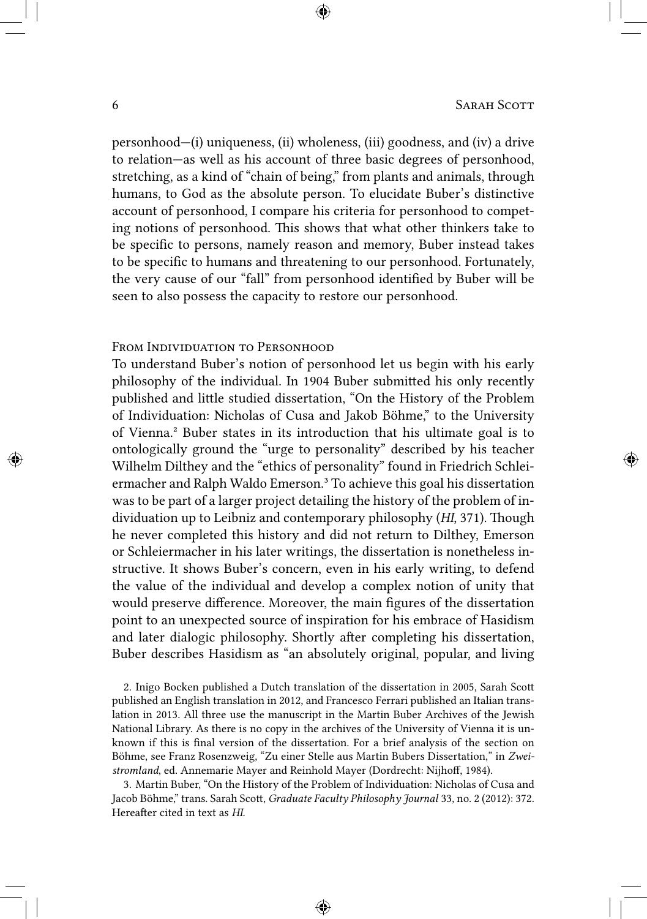personhood—(i) uniqueness, (ii) wholeness, (iii) goodness, and (iv) a drive to relation—as well as his account of three basic degrees of personhood, stretching, as a kind of "chain of being," from plants and animals, through humans, to God as the absolute person. To elucidate Buber's distinctive account of personhood, I compare his criteria for personhood to competing notions of personhood. This shows that what other thinkers take to be specific to persons, namely reason and memory, Buber instead takes to be specific to humans and threatening to our personhood. Fortunately, the very cause of our "fall" from personhood identified by Buber will be seen to also possess the capacity to restore our personhood.

### FROM INDIVIDUATION TO PERSONHOOD

To understand Buber's notion of personhood let us begin with his early philosophy of the individual. In 1904 Buber submitted his only recently published and little studied dissertation, "On the History of the Problem of Individuation: Nicholas of Cusa and Jakob Böhme," to the University of Vienna.² Buber states in its introduction that his ultimate goal is to ontologically ground the "urge to personality" described by his teacher Wilhelm Dilthey and the "ethics of personality" found in Friedrich Schleiermacher and Ralph Waldo Emerson.³ To achieve this goal his dissertation was to be part of a larger project detailing the history of the problem of individuation up to Leibniz and contemporary philosophy (*HI*, 371). Though he never completed this history and did not return to Dilthey, Emerson or Schleiermacher in his later writings, the dissertation is nonetheless instructive. It shows Buber's concern, even in his early writing, to defend the value of the individual and develop a complex notion of unity that would preserve difference. Moreover, the main figures of the dissertation point to an unexpected source of inspiration for his embrace of Hasidism and later dialogic philosophy. Shortly after completing his dissertation, Buber describes Hasidism as "an absolutely original, popular, and living

2. Inigo Bocken published a Dutch translation of the dissertation in 2005, Sarah Scott published an English translation in 2012, and Francesco Ferrari published an Italian translation in 2013. All three use the manuscript in the Martin Buber Archives of the Jewish National Library. As there is no copy in the archives of the University of Vienna it is unknown if this is final version of the dissertation. For a brief analysis of the section on Böhme, see Franz Rosenzweig, "Zu einer Stelle aus Martin Bubers Dissertation," in *Zweistromland*, ed. Annemarie Mayer and Reinhold Mayer (Dordrecht: Nijhoff, 1984).

3. Martin Buber, "On the History of the Problem of Individuation: Nicholas of Cusa and Jacob Böhme," trans. Sarah Scott, *Graduate Faculty Philosophy Journal* 33, no. 2 (2012): 372. Hereafter cited in text as *HI*.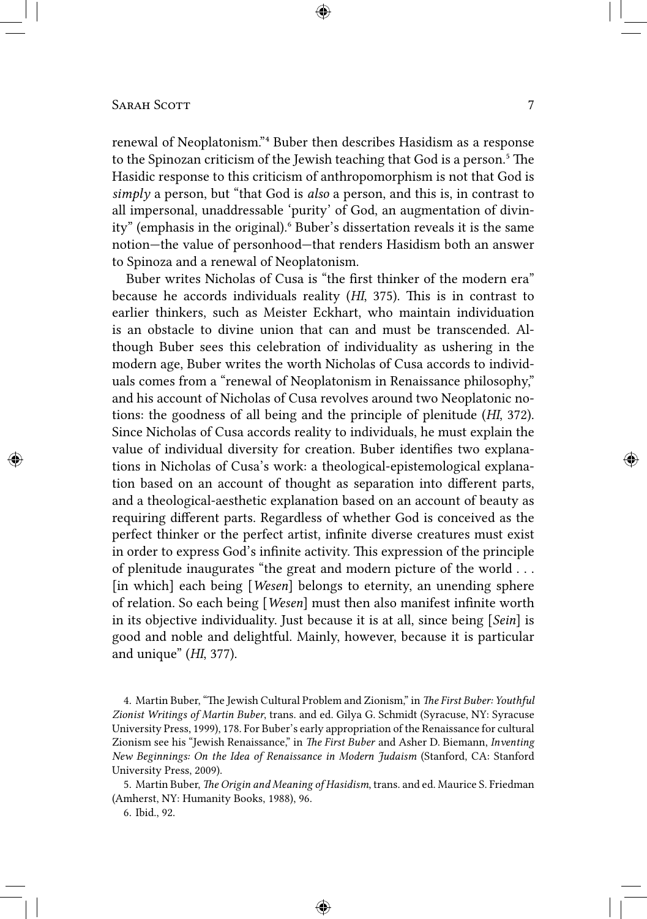renewal of Neoplatonism."<sup>4</sup> Buber then describes Hasidism as a response to the Spinozan criticism of the Jewish teaching that God is a person.<sup>5</sup> The Hasidic response to this criticism of anthropomorphism is not that God is *simply* a person, but "that God is *also* a person, and this is, in contrast to all impersonal, unaddressable 'purity' of God, an augmentation of divinity" (emphasis in the original).⁶ Buber's dissertation reveals it is the same notion—the value of personhood—that renders Hasidism both an answer to Spinoza and a renewal of Neoplatonism.

Buber writes Nicholas of Cusa is "the first thinker of the modern era" because he accords individuals reality (*HI*, 375). This is in contrast to earlier thinkers, such as Meister Eckhart, who maintain individuation is an obstacle to divine union that can and must be transcended. Although Buber sees this celebration of individuality as ushering in the modern age, Buber writes the worth Nicholas of Cusa accords to individuals comes from a "renewal of Neoplatonism in Renaissance philosophy," and his account of Nicholas of Cusa revolves around two Neoplatonic notions: the goodness of all being and the principle of plenitude (*HI*, 372). Since Nicholas of Cusa accords reality to individuals, he must explain the value of individual diversity for creation. Buber identifies two explanations in Nicholas of Cusa's work: a theological-epistemological explanation based on an account of thought as separation into different parts, and a theological-aesthetic explanation based on an account of beauty as requiring different parts. Regardless of whether God is conceived as the perfect thinker or the perfect artist, infinite diverse creatures must exist in order to express God's infinite activity. This expression of the principle of plenitude inaugurates "the great and modern picture of the world . . . [in which] each being [*Wesen*] belongs to eternity, an unending sphere of relation. So each being [*Wesen*] must then also manifest infinite worth in its objective individuality. Just because it is at all, since being [*Sein*] is good and noble and delightful. Mainly, however, because it is particular and unique" (*HI*, 377).

4. Martin Buber, "The Jewish Cultural Problem and Zionism," in *The First Buber: Youthful Zionist Writings of Martin Buber*, trans. and ed. Gilya G. Schmidt (Syracuse, NY: Syracuse University Press, 1999), 178. For Buber's early appropriation of the Renaissance for cultural Zionism see his "Jewish Renaissance," in *The First Buber* and Asher D. Biemann, *Inventing New Beginnings: On the Idea of Renaissance in Modern Judaism* (Stanford, CA: Stanford University Press, 2009).

5. Martin Buber, *The Origin and Meaning of Hasidism*, trans. and ed. Maurice S. Friedman (Amherst, NY: Humanity Books, 1988), 96.

6. Ibid., 92.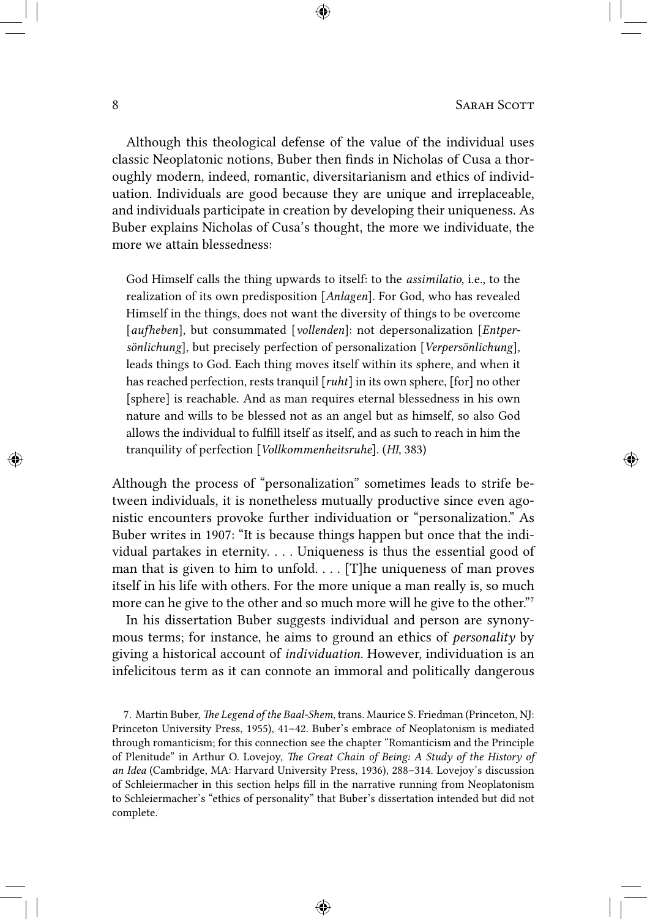Although this theological defense of the value of the individual uses classic Neoplatonic notions, Buber then finds in Nicholas of Cusa a thoroughly modern, indeed, romantic, diversitarianism and ethics of individuation. Individuals are good because they are unique and irreplaceable, and individuals participate in creation by developing their uniqueness. As Buber explains Nicholas of Cusa's thought, the more we individuate, the more we attain blessedness:

God Himself calls the thing upwards to itself: to the *assimilatio*, i.e., to the realization of its own predisposition [*Anlagen*]. For God, who has revealed Himself in the things, does not want the diversity of things to be overcome [*aufheben*], but consummated [*vollenden*]: not depersonalization [*Entpersönlichung*], but precisely perfection of personalization [*Verpersönlichung*], leads things to God. Each thing moves itself within its sphere, and when it has reached perfection, rests tranquil [*ruht*] in its own sphere, [for] no other [sphere] is reachable. And as man requires eternal blessedness in his own nature and wills to be blessed not as an angel but as himself, so also God allows the individual to fulfill itself as itself, and as such to reach in him the tranquility of perfection [*Vollkommenheitsruhe*]. (*HI*, 383)

Although the process of "personalization" sometimes leads to strife between individuals, it is nonetheless mutually productive since even agonistic encounters provoke further individuation or "personalization." As Buber writes in 1907: "It is because things happen but once that the individual partakes in eternity. . . . Uniqueness is thus the essential good of man that is given to him to unfold. . . . [T]he uniqueness of man proves itself in his life with others. For the more unique a man really is, so much more can he give to the other and so much more will he give to the other.<sup>"7</sup>

In his dissertation Buber suggests individual and person are synonymous terms; for instance, he aims to ground an ethics of *personality* by giving a historical account of *individuation*. However, individuation is an infelicitous term as it can connote an immoral and politically dangerous

7. Martin Buber, *The Legend of the Baal-Shem*, trans. Maurice S. Friedman (Princeton, NJ: Princeton University Press, 1955), 41–42. Buber's embrace of Neoplatonism is mediated through romanticism; for this connection see the chapter "Romanticism and the Principle of Plenitude" in Arthur O. Lovejoy, *The Great Chain of Being: A Study of the History of an Idea* (Cambridge, MA: Harvard University Press, 1936), 288–314. Lovejoy's discussion of Schleiermacher in this section helps fill in the narrative running from Neoplatonism to Schleiermacher's "ethics of personality" that Buber's dissertation intended but did not complete.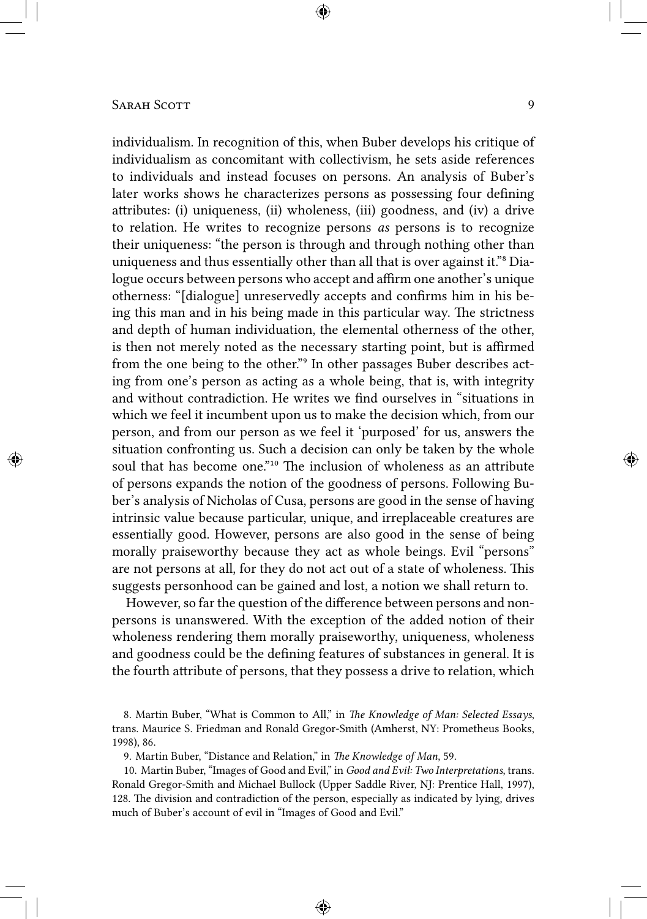individualism. In recognition of this, when Buber develops his critique of individualism as concomitant with collectivism, he sets aside references to individuals and instead focuses on persons. An analysis of Buber's later works shows he characterizes persons as possessing four defining attributes: (i) uniqueness, (ii) wholeness, (iii) goodness, and (iv) a drive to relation. He writes to recognize persons *as* persons is to recognize their uniqueness: "the person is through and through nothing other than uniqueness and thus essentially other than all that is over against it."<sup>8</sup> Dialogue occurs between persons who accept and affirm one another's unique otherness: "[dialogue] unreservedly accepts and confirms him in his being this man and in his being made in this particular way. The strictness and depth of human individuation, the elemental otherness of the other, is then not merely noted as the necessary starting point, but is affirmed from the one being to the other."<sup>9</sup> In other passages Buber describes acting from one's person as acting as a whole being, that is, with integrity and without contradiction. He writes we find ourselves in "situations in which we feel it incumbent upon us to make the decision which, from our person, and from our person as we feel it 'purposed' for us, answers the situation confronting us. Such a decision can only be taken by the whole soul that has become one."<sup>10</sup> The inclusion of wholeness as an attribute of persons expands the notion of the goodness of persons. Following Buber's analysis of Nicholas of Cusa, persons are good in the sense of having intrinsic value because particular, unique, and irreplaceable creatures are essentially good. However, persons are also good in the sense of being morally praiseworthy because they act as whole beings. Evil "persons" are not persons at all, for they do not act out of a state of wholeness. This suggests personhood can be gained and lost, a notion we shall return to.

However, so far the question of the difference between persons and nonpersons is unanswered. With the exception of the added notion of their wholeness rendering them morally praiseworthy, uniqueness, wholeness and goodness could be the defining features of substances in general. It is the fourth attribute of persons, that they possess a drive to relation, which

9. Martin Buber, "Distance and Relation," in *The Knowledge of Man*, 59.

10. Martin Buber, "Images of Good and Evil," in *Good and Evil: Two Interpretations*, trans. Ronald Gregor-Smith and Michael Bullock (Upper Saddle River, NJ: Prentice Hall, 1997), 128. The division and contradiction of the person, especially as indicated by lying, drives much of Buber's account of evil in "Images of Good and Evil."

<sup>8.</sup> Martin Buber, "What is Common to All," in *The Knowledge of Man: Selected Essays*, trans. Maurice S. Friedman and Ronald Gregor-Smith (Amherst, NY: Prometheus Books, 1998), 86.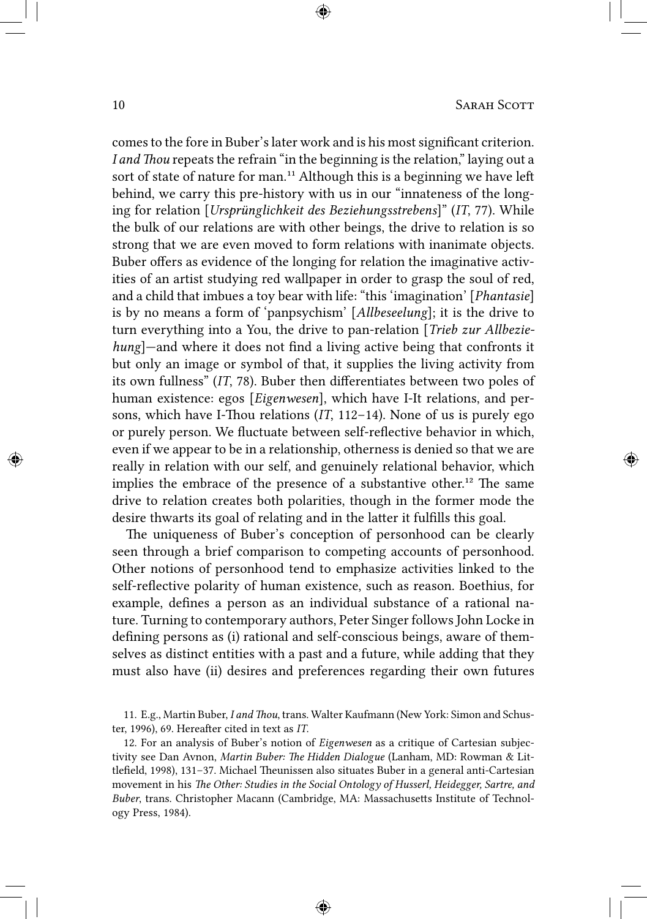comes to the fore in Buber's later work and is his most significant criterion. *I and Thou* repeats the refrain "in the beginning is the relation," laying out a sort of state of nature for man.<sup>11</sup> Although this is a beginning we have left behind, we carry this pre-history with us in our "innateness of the longing for relation [*Ursprünglichkeit des Beziehungsstrebens*]" (*IT*, 77). While the bulk of our relations are with other beings, the drive to relation is so strong that we are even moved to form relations with inanimate objects. Buber offers as evidence of the longing for relation the imaginative activities of an artist studying red wallpaper in order to grasp the soul of red, and a child that imbues a toy bear with life: "this 'imagination' [*Phantasie*] is by no means a form of 'panpsychism' [*Allbeseelung*]; it is the drive to turn everything into a You, the drive to pan-relation [*Trieb zur Allbeziehung*]—and where it does not find a living active being that confronts it but only an image or symbol of that, it supplies the living activity from its own fullness" (*IT*, 78). Buber then differentiates between two poles of human existence: egos [*Eigenwesen*], which have I-It relations, and persons, which have I-Thou relations (*IT*, 112–14). None of us is purely ego or purely person. We fluctuate between self-reflective behavior in which, even if we appear to be in a relationship, otherness is denied so that we are really in relation with our self, and genuinely relational behavior, which implies the embrace of the presence of a substantive other.<sup>12</sup> The same drive to relation creates both polarities, though in the former mode the desire thwarts its goal of relating and in the latter it fulfills this goal.

The uniqueness of Buber's conception of personhood can be clearly seen through a brief comparison to competing accounts of personhood. Other notions of personhood tend to emphasize activities linked to the self-reflective polarity of human existence, such as reason. Boethius, for example, defines a person as an individual substance of a rational nature. Turning to contemporary authors, Peter Singer follows John Locke in defining persons as (i) rational and self-conscious beings, aware of themselves as distinct entities with a past and a future, while adding that they must also have (ii) desires and preferences regarding their own futures

12. For an analysis of Buber's notion of *Eigenwesen* as a critique of Cartesian subjectivity see Dan Avnon, *Martin Buber: The Hidden Dialogue* (Lanham, MD: Rowman & Littlefield, 1998), 131–37. Michael Theunissen also situates Buber in a general anti-Cartesian movement in his *The Other: Studies in the Social Ontology of Husserl, Heidegger, Sartre, and Buber*, trans. Christopher Macann (Cambridge, MA: Massachusetts Institute of Technology Press, 1984).

<sup>11.</sup> E.g., Martin Buber, *I and Thou*, trans. Walter Kaufmann (New York: Simon and Schuster, 1996), 69. Hereafter cited in text as *IT*.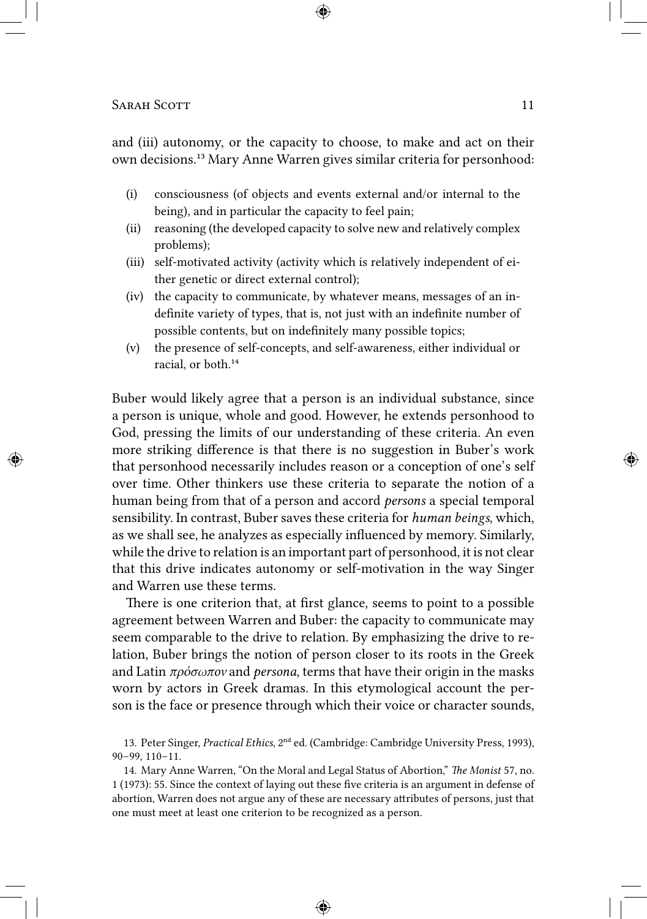and (iii) autonomy, or the capacity to choose, to make and act on their own decisions.<sup>13</sup> Mary Anne Warren gives similar criteria for personhood:

- (i) consciousness (of objects and events external and/or internal to the being), and in particular the capacity to feel pain;
- (ii) reasoning (the developed capacity to solve new and relatively complex problems);
- (iii) self-motivated activity (activity which is relatively independent of either genetic or direct external control);
- (iv) the capacity to communicate, by whatever means, messages of an indefinite variety of types, that is, not just with an indefinite number of possible contents, but on indefinitely many possible topics;
- (v) the presence of self-concepts, and self-awareness, either individual or racial, or both.<sup>14</sup>

Buber would likely agree that a person is an individual substance, since a person is unique, whole and good. However, he extends personhood to God, pressing the limits of our understanding of these criteria. An even more striking difference is that there is no suggestion in Buber's work that personhood necessarily includes reason or a conception of one's self over time. Other thinkers use these criteria to separate the notion of a human being from that of a person and accord *persons* a special temporal sensibility. In contrast, Buber saves these criteria for *human beings*, which, as we shall see, he analyzes as especially influenced by memory. Similarly, while the drive to relation is an important part of personhood, it is not clear that this drive indicates autonomy or self-motivation in the way Singer and Warren use these terms.

There is one criterion that, at first glance, seems to point to a possible agreement between Warren and Buber: the capacity to communicate may seem comparable to the drive to relation. By emphasizing the drive to relation, Buber brings the notion of person closer to its roots in the Greek and Latin *πρόσωπον* and *persona*, terms that have their origin in the masks worn by actors in Greek dramas. In this etymological account the person is the face or presence through which their voice or character sounds,

13. Peter Singer, *Practical Ethics*, 2<sup>nd</sup> ed. (Cambridge: Cambridge University Press, 1993), 90–99, 110–11.

14. Mary Anne Warren, "On the Moral and Legal Status of Abortion," *The Monist* 57, no. 1 (1973): 55. Since the context of laying out these five criteria is an argument in defense of abortion, Warren does not argue any of these are necessary attributes of persons, just that one must meet at least one criterion to be recognized as a person.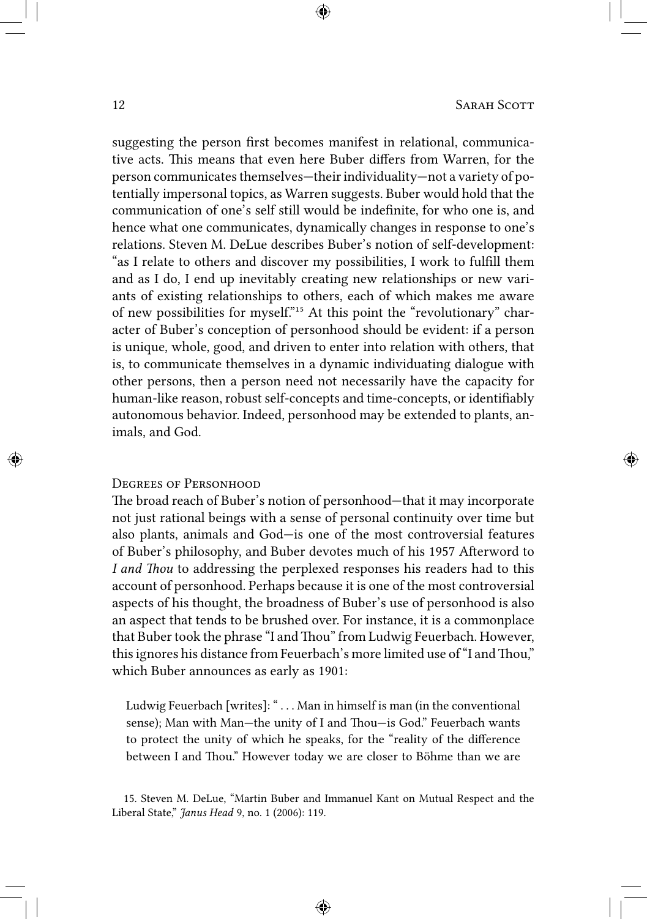suggesting the person first becomes manifest in relational, communicative acts. This means that even here Buber differs from Warren, for the person communicates themselves—their individuality—not a variety of potentially impersonal topics, as Warren suggests. Buber would hold that the communication of one's self still would be indefinite, for who one is, and hence what one communicates, dynamically changes in response to one's relations. Steven M. DeLue describes Buber's notion of self-development: "as I relate to others and discover my possibilities, I work to fulfill them and as I do, I end up inevitably creating new relationships or new variants of existing relationships to others, each of which makes me aware of new possibilities for myself."<sup>15</sup> At this point the "revolutionary" character of Buber's conception of personhood should be evident: if a person is unique, whole, good, and driven to enter into relation with others, that is, to communicate themselves in a dynamic individuating dialogue with other persons, then a person need not necessarily have the capacity for human-like reason, robust self-concepts and time-concepts, or identifiably autonomous behavior. Indeed, personhood may be extended to plants, animals, and God.

#### Degrees of Personhood

The broad reach of Buber's notion of personhood—that it may incorporate not just rational beings with a sense of personal continuity over time but also plants, animals and God—is one of the most controversial features of Buber's philosophy, and Buber devotes much of his 1957 Afterword to *I and Thou* to addressing the perplexed responses his readers had to this account of personhood. Perhaps because it is one of the most controversial aspects of his thought, the broadness of Buber's use of personhood is also an aspect that tends to be brushed over. For instance, it is a commonplace that Buber took the phrase "I and Thou" from Ludwig Feuerbach. However, this ignores his distance from Feuerbach's more limited use of "I and Thou," which Buber announces as early as 1901:

Ludwig Feuerbach [writes]: " . . . Man in himself is man (in the conventional sense); Man with Man—the unity of I and Thou—is God." Feuerbach wants to protect the unity of which he speaks, for the "reality of the difference between I and Thou." However today we are closer to Böhme than we are

<sup>15.</sup> Steven M. DeLue, "Martin Buber and Immanuel Kant on Mutual Respect and the Liberal State," *Janus Head* 9, no. 1 (2006): 119.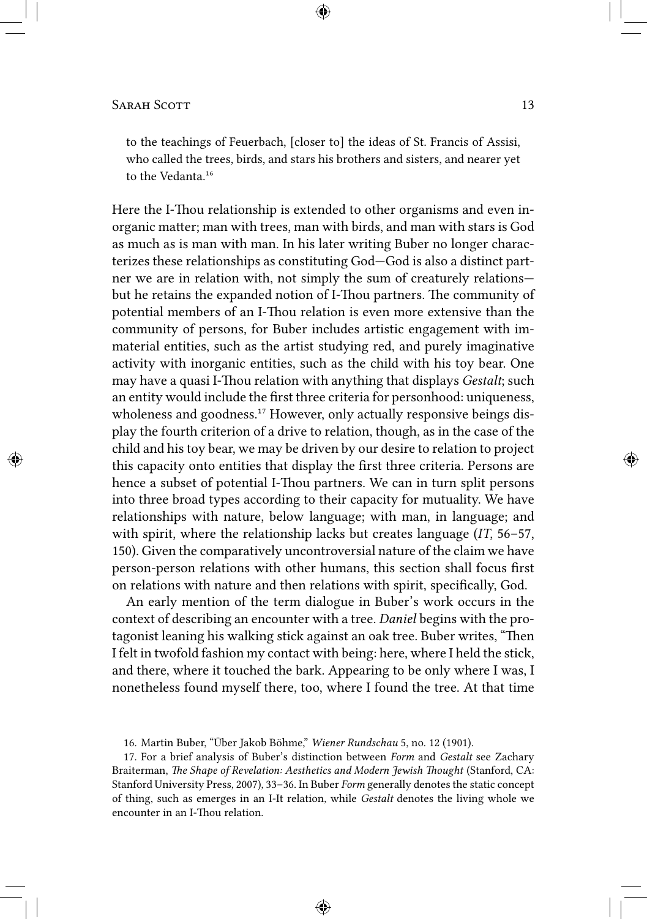to the teachings of Feuerbach, [closer to] the ideas of St. Francis of Assisi, who called the trees, birds, and stars his brothers and sisters, and nearer yet to the Vedanta<sup>16</sup>

Here the I-Thou relationship is extended to other organisms and even inorganic matter; man with trees, man with birds, and man with stars is God as much as is man with man. In his later writing Buber no longer characterizes these relationships as constituting God—God is also a distinct partner we are in relation with, not simply the sum of creaturely relations but he retains the expanded notion of I-Thou partners. The community of potential members of an I-Thou relation is even more extensive than the community of persons, for Buber includes artistic engagement with immaterial entities, such as the artist studying red, and purely imaginative activity with inorganic entities, such as the child with his toy bear. One may have a quasi I-Thou relation with anything that displays *Gestalt*; such an entity would include the first three criteria for personhood: uniqueness, wholeness and goodness.<sup>17</sup> However, only actually responsive beings display the fourth criterion of a drive to relation, though, as in the case of the child and his toy bear, we may be driven by our desire to relation to project this capacity onto entities that display the first three criteria. Persons are hence a subset of potential I-Thou partners. We can in turn split persons into three broad types according to their capacity for mutuality. We have relationships with nature, below language; with man, in language; and with spirit, where the relationship lacks but creates language (*IT*, 56–57, 150). Given the comparatively uncontroversial nature of the claim we have person-person relations with other humans, this section shall focus first on relations with nature and then relations with spirit, specifically, God.

An early mention of the term dialogue in Buber's work occurs in the context of describing an encounter with a tree. *Daniel* begins with the protagonist leaning his walking stick against an oak tree. Buber writes, "Then I felt in twofold fashion my contact with being: here, where I held the stick, and there, where it touched the bark. Appearing to be only where I was, I nonetheless found myself there, too, where I found the tree. At that time

<sup>16.</sup> Martin Buber, "Über Jakob Böhme," *Wiener Rundschau* 5, no. 12 (1901).

<sup>17.</sup> For a brief analysis of Buber's distinction between *Form* and *Gestalt* see Zachary Braiterman, *The Shape of Revelation: Aesthetics and Modern Jewish Thought* (Stanford, CA: Stanford University Press, 2007), 33–36. In Buber *Form* generally denotes the static concept of thing, such as emerges in an I-It relation, while *Gestalt* denotes the living whole we encounter in an I-Thou relation.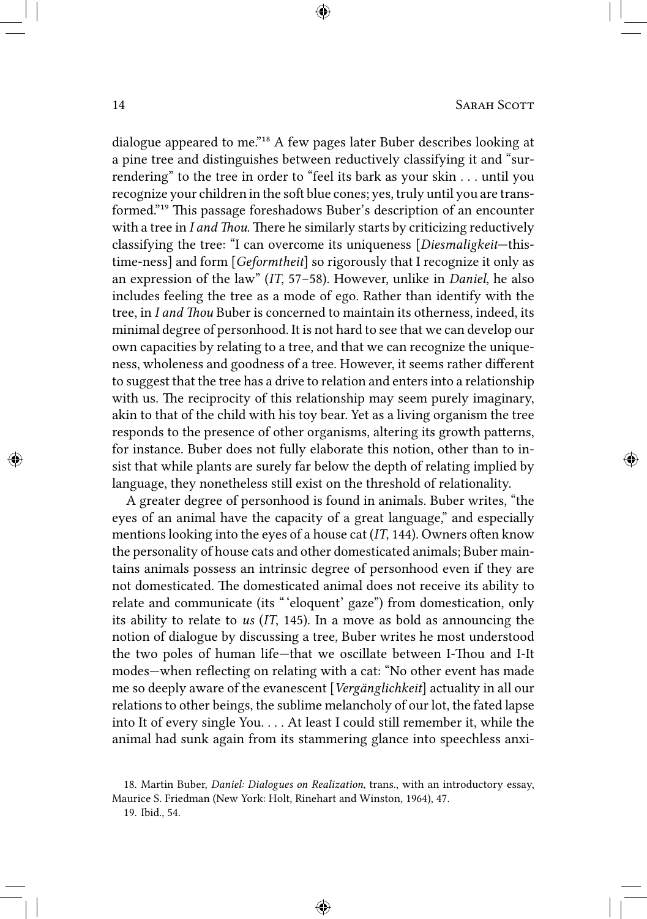dialogue appeared to me."<sup>18</sup> A few pages later Buber describes looking at a pine tree and distinguishes between reductively classifying it and "surrendering" to the tree in order to "feel its bark as your skin . . . until you recognize your children in the soft blue cones; yes, truly until you are transformed."<sup>19</sup> This passage foreshadows Buber's description of an encounter with a tree in *I and Thou*. There he similarly starts by criticizing reductively classifying the tree: "I can overcome its uniqueness [*Diesmaligkeit*—thistime-ness] and form [*Geformtheit*] so rigorously that I recognize it only as an expression of the law" (*IT*, 57–58). However, unlike in *Daniel*, he also includes feeling the tree as a mode of ego. Rather than identify with the tree, in *I and Thou* Buber is concerned to maintain its otherness, indeed, its minimal degree of personhood. It is not hard to see that we can develop our own capacities by relating to a tree, and that we can recognize the uniqueness, wholeness and goodness of a tree. However, it seems rather different to suggest that the tree has a drive to relation and enters into a relationship with us. The reciprocity of this relationship may seem purely imaginary, akin to that of the child with his toy bear. Yet as a living organism the tree responds to the presence of other organisms, altering its growth patterns, for instance. Buber does not fully elaborate this notion, other than to insist that while plants are surely far below the depth of relating implied by language, they nonetheless still exist on the threshold of relationality.

A greater degree of personhood is found in animals. Buber writes, "the eyes of an animal have the capacity of a great language," and especially mentions looking into the eyes of a house cat (*IT*, 144). Owners often know the personality of house cats and other domesticated animals; Buber maintains animals possess an intrinsic degree of personhood even if they are not domesticated. The domesticated animal does not receive its ability to relate and communicate (its " 'eloquent' gaze") from domestication, only its ability to relate to *us* (*IT*, 145). In a move as bold as announcing the notion of dialogue by discussing a tree, Buber writes he most understood the two poles of human life—that we oscillate between I-Thou and I-It modes—when reflecting on relating with a cat: "No other event has made me so deeply aware of the evanescent [*Vergänglichkeit*] actuality in all our relations to other beings, the sublime melancholy of our lot, the fated lapse into It of every single You. . . . At least I could still remember it, while the animal had sunk again from its stammering glance into speechless anxi-

19. Ibid., 54.

<sup>18.</sup> Martin Buber, *Daniel: Dialogues on Realization*, trans., with an introductory essay, Maurice S. Friedman (New York: Holt, Rinehart and Winston, 1964), 47.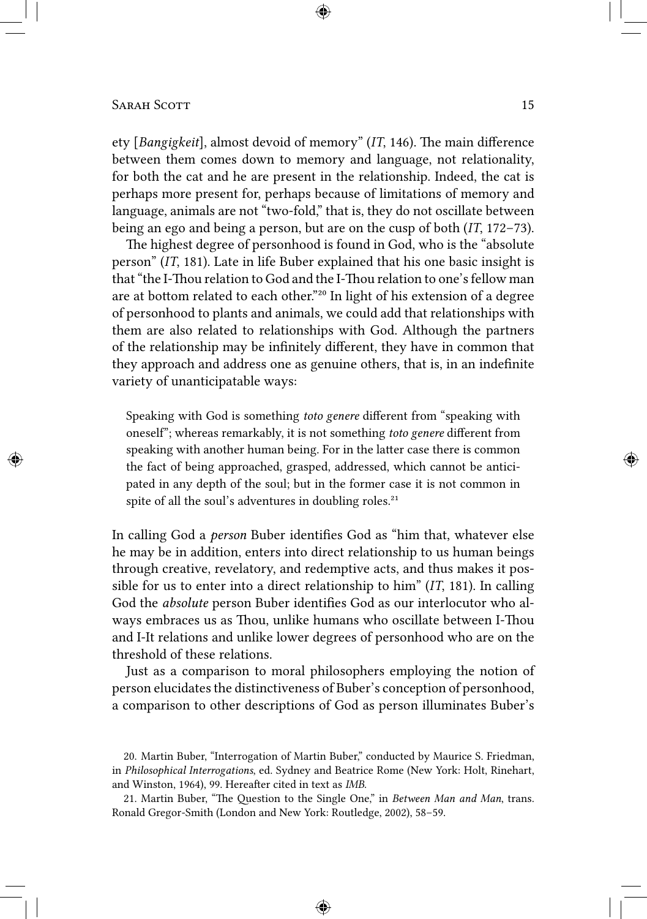ety [*Bangigkeit*], almost devoid of memory" (*IT*, 146). The main difference between them comes down to memory and language, not relationality, for both the cat and he are present in the relationship. Indeed, the cat is perhaps more present for, perhaps because of limitations of memory and language, animals are not "two-fold," that is, they do not oscillate between being an ego and being a person, but are on the cusp of both (*IT*, 172–73).

The highest degree of personhood is found in God, who is the "absolute person" (*IT*, 181). Late in life Buber explained that his one basic insight is that "the I-Thou relation to God and the I-Thou relation to one's fellow man are at bottom related to each other."<sup>20</sup> In light of his extension of a degree of personhood to plants and animals, we could add that relationships with them are also related to relationships with God. Although the partners of the relationship may be infinitely different, they have in common that they approach and address one as genuine others, that is, in an indefinite variety of unanticipatable ways:

Speaking with God is something *toto genere* different from "speaking with oneself"; whereas remarkably, it is not something *toto genere* different from speaking with another human being. For in the latter case there is common the fact of being approached, grasped, addressed, which cannot be anticipated in any depth of the soul; but in the former case it is not common in spite of all the soul's adventures in doubling roles.<sup>21</sup>

In calling God a *person* Buber identifies God as "him that, whatever else he may be in addition, enters into direct relationship to us human beings through creative, revelatory, and redemptive acts, and thus makes it possible for us to enter into a direct relationship to him" (*IT*, 181). In calling God the *absolute* person Buber identifies God as our interlocutor who always embraces us as Thou, unlike humans who oscillate between I-Thou and I-It relations and unlike lower degrees of personhood who are on the threshold of these relations.

Just as a comparison to moral philosophers employing the notion of person elucidates the distinctiveness of Buber's conception of personhood, a comparison to other descriptions of God as person illuminates Buber's

<sup>20.</sup> Martin Buber, "Interrogation of Martin Buber," conducted by Maurice S. Friedman, in *Philosophical Interrogations*, ed. Sydney and Beatrice Rome (New York: Holt, Rinehart, and Winston, 1964), 99. Hereafter cited in text as *IMB*.

<sup>21.</sup> Martin Buber, "The Question to the Single One," in *Between Man and Man*, trans. Ronald Gregor-Smith (London and New York: Routledge, 2002), 58–59.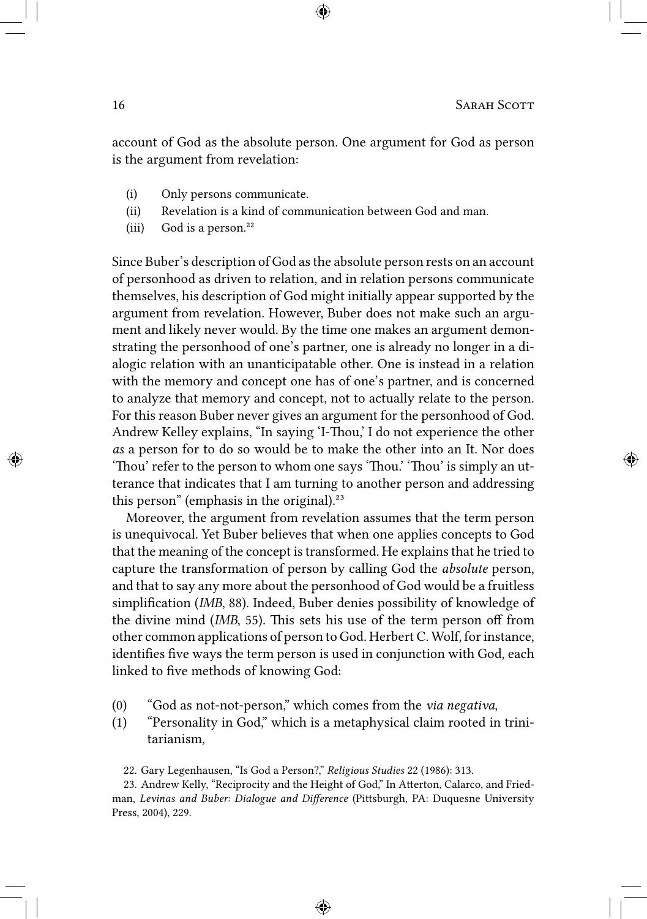account of God as the absolute person. One argument for God as person is the argument from revelation:

- (i) Only persons communicate.
- (ii) Revelation is a kind of communication between God and man.
- (iii) God is a person.<sup>22</sup>

Since Buber's description of God as the absolute person rests on an account of personhood as driven to relation, and in relation persons communicate themselves, his description of God might initially appear supported by the argument from revelation. However, Buber does not make such an argument and likely never would. By the time one makes an argument demonstrating the personhood of one's partner, one is already no longer in a dialogic relation with an unanticipatable other. One is instead in a relation with the memory and concept one has of one's partner, and is concerned to analyze that memory and concept, not to actually relate to the person. For this reason Buber never gives an argument for the personhood of God. Andrew Kelley explains, "In saying 'I-Thou,' I do not experience the other *as* a person for to do so would be to make the other into an It. Nor does 'Thou' refer to the person to whom one says 'Thou.' 'Thou' is simply an utterance that indicates that I am turning to another person and addressing this person" (emphasis in the original).<sup>23</sup>

Moreover, the argument from revelation assumes that the term person is unequivocal. Yet Buber believes that when one applies concepts to God that the meaning of the concept is transformed. He explains that he tried to capture the transformation of person by calling God the *absolute* person, and that to say any more about the personhood of God would be a fruitless simplification (*IMB*, 88). Indeed, Buber denies possibility of knowledge of the divine mind (*IMB*, 55). This sets his use of the term person off from other common applications of person to God. Herbert C. Wolf, for instance, identifies five ways the term person is used in conjunction with God, each linked to five methods of knowing God:

- (0) "God as not-not-person," which comes from the *via negativa*,
- (1) "Personality in God," which is a metaphysical claim rooted in trinitarianism,

22. Gary Legenhausen, "Is God a Person?," *Religious Studies* 22 (1986): 313.

23. Andrew Kelly, "Reciprocity and the Height of God," In Atterton, Calarco, and Friedman, *Levinas and Buber: Dialogue and Difference* (Pittsburgh, PA: Duquesne University Press, 2004), 229.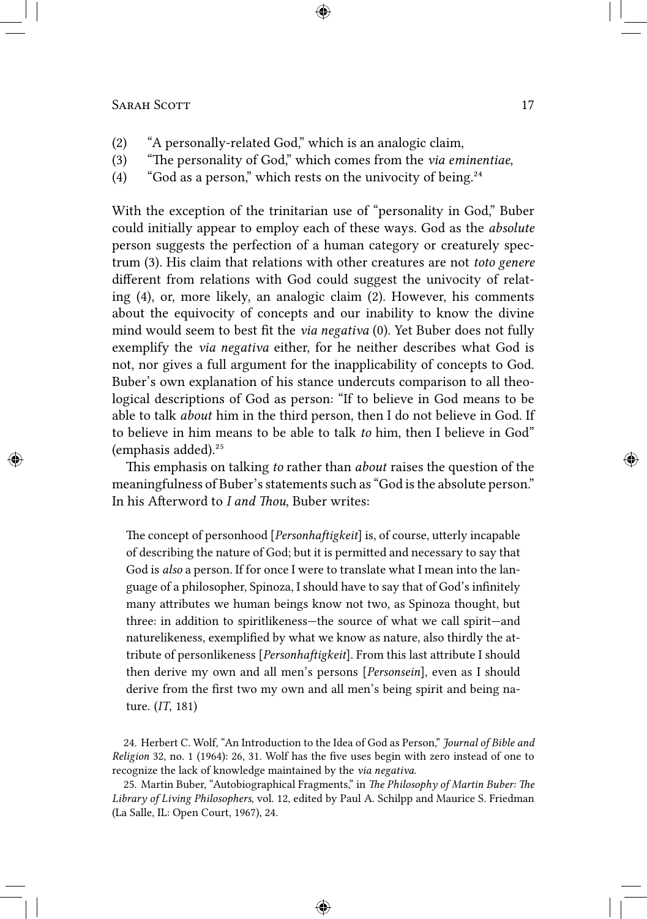- (2) "A personally-related God," which is an analogic claim,
- (3) "The personality of God," which comes from the *via eminentiae*,
- (4) "God as a person," which rests on the univocity of being. $24$

With the exception of the trinitarian use of "personality in God," Buber could initially appear to employ each of these ways. God as the *absolute* person suggests the perfection of a human category or creaturely spectrum (3). His claim that relations with other creatures are not *toto genere* different from relations with God could suggest the univocity of relating (4), or, more likely, an analogic claim (2). However, his comments about the equivocity of concepts and our inability to know the divine mind would seem to best fit the *via negativa* (0). Yet Buber does not fully exemplify the *via negativa* either, for he neither describes what God is not, nor gives a full argument for the inapplicability of concepts to God. Buber's own explanation of his stance undercuts comparison to all theological descriptions of God as person: "If to believe in God means to be able to talk *about* him in the third person, then I do not believe in God. If to believe in him means to be able to talk *to* him, then I believe in God" (emphasis added).²⁵

This emphasis on talking *to* rather than *about* raises the question of the meaningfulness of Buber's statements such as "God is the absolute person." In his Afterword to *I and Thou*, Buber writes:

The concept of personhood [*Personhaftigkeit*] is, of course, utterly incapable of describing the nature of God; but it is permitted and necessary to say that God is *also* a person. If for once I were to translate what I mean into the language of a philosopher, Spinoza, I should have to say that of God's infinitely many attributes we human beings know not two, as Spinoza thought, but three: in addition to spiritlikeness—the source of what we call spirit—and naturelikeness, exemplified by what we know as nature, also thirdly the attribute of personlikeness [*Personhaftigkeit*]. From this last attribute I should then derive my own and all men's persons [*Personsein*], even as I should derive from the first two my own and all men's being spirit and being nature. (*IT*, 181)

24. Herbert C. Wolf, "An Introduction to the Idea of God as Person," *Journal of Bible and Religion* 32, no. 1 (1964): 26, 31. Wolf has the five uses begin with zero instead of one to recognize the lack of knowledge maintained by the *via negativa*.

25. Martin Buber, "Autobiographical Fragments," in *The Philosophy of Martin Buber: The Library of Living Philosophers*, vol. 12, edited by Paul A. Schilpp and Maurice S. Friedman (La Salle, IL: Open Court, 1967), 24.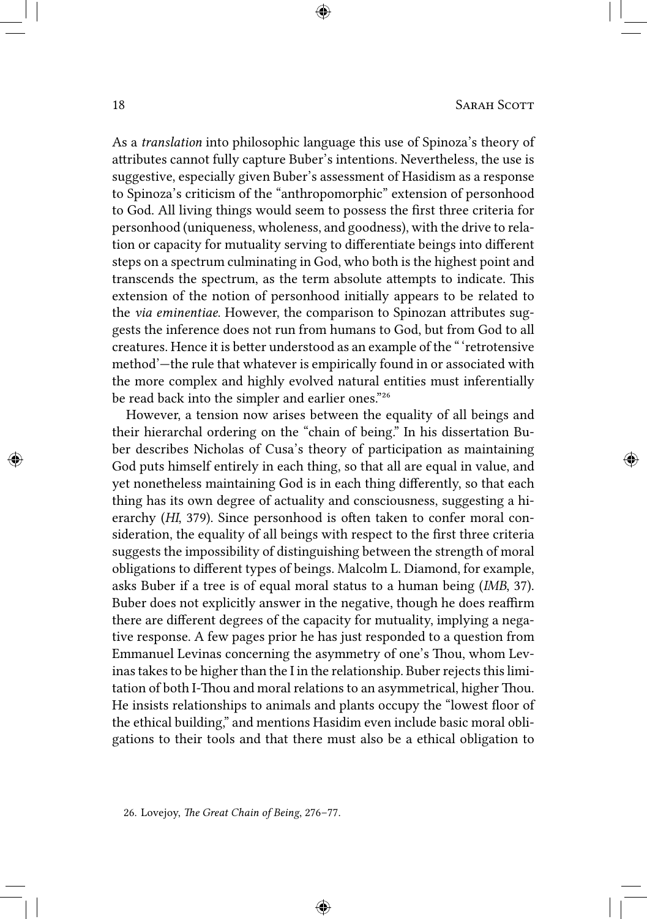As a *translation* into philosophic language this use of Spinoza's theory of attributes cannot fully capture Buber's intentions. Nevertheless, the use is suggestive, especially given Buber's assessment of Hasidism as a response to Spinoza's criticism of the "anthropomorphic" extension of personhood to God. All living things would seem to possess the first three criteria for personhood (uniqueness, wholeness, and goodness), with the drive to relation or capacity for mutuality serving to differentiate beings into different steps on a spectrum culminating in God, who both is the highest point and transcends the spectrum, as the term absolute attempts to indicate. This extension of the notion of personhood initially appears to be related to the *via eminentiae*. However, the comparison to Spinozan attributes suggests the inference does not run from humans to God, but from God to all creatures. Hence it is better understood as an example of the " 'retrotensive method'—the rule that whatever is empirically found in or associated with the more complex and highly evolved natural entities must inferentially be read back into the simpler and earlier ones."26

However, a tension now arises between the equality of all beings and their hierarchal ordering on the "chain of being." In his dissertation Buber describes Nicholas of Cusa's theory of participation as maintaining God puts himself entirely in each thing, so that all are equal in value, and yet nonetheless maintaining God is in each thing differently, so that each thing has its own degree of actuality and consciousness, suggesting a hierarchy (*HI*, 379). Since personhood is often taken to confer moral consideration, the equality of all beings with respect to the first three criteria suggests the impossibility of distinguishing between the strength of moral obligations to different types of beings. Malcolm L. Diamond, for example, asks Buber if a tree is of equal moral status to a human being (*IMB*, 37). Buber does not explicitly answer in the negative, though he does reaffirm there are different degrees of the capacity for mutuality, implying a negative response. A few pages prior he has just responded to a question from Emmanuel Levinas concerning the asymmetry of one's Thou, whom Levinas takes to be higher than the I in the relationship. Buber rejects this limitation of both I-Thou and moral relations to an asymmetrical, higher Thou. He insists relationships to animals and plants occupy the "lowest floor of the ethical building," and mentions Hasidim even include basic moral obligations to their tools and that there must also be a ethical obligation to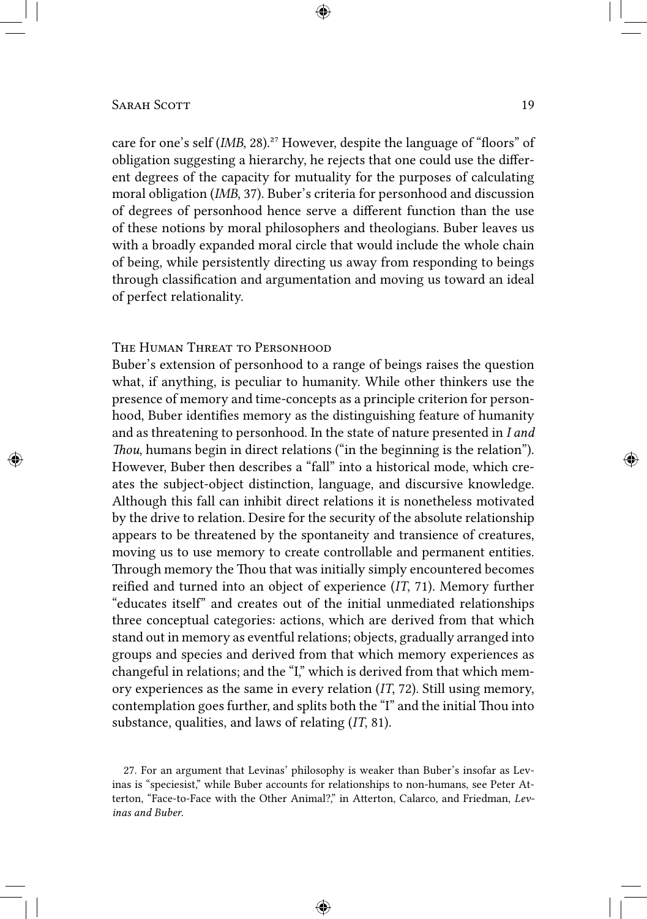# Sarah Scott 19

care for one's self (*IMB*, 28).<sup>27</sup> However, despite the language of "floors" of obligation suggesting a hierarchy, he rejects that one could use the different degrees of the capacity for mutuality for the purposes of calculating moral obligation (*IMB*, 37). Buber's criteria for personhood and discussion of degrees of personhood hence serve a different function than the use of these notions by moral philosophers and theologians. Buber leaves us with a broadly expanded moral circle that would include the whole chain of being, while persistently directing us away from responding to beings through classification and argumentation and moving us toward an ideal of perfect relationality.

## The Human Threat to Personhood

Buber's extension of personhood to a range of beings raises the question what, if anything, is peculiar to humanity. While other thinkers use the presence of memory and time-concepts as a principle criterion for personhood, Buber identifies memory as the distinguishing feature of humanity and as threatening to personhood. In the state of nature presented in *I and Thou*, humans begin in direct relations ("in the beginning is the relation"). However, Buber then describes a "fall" into a historical mode, which creates the subject-object distinction, language, and discursive knowledge. Although this fall can inhibit direct relations it is nonetheless motivated by the drive to relation. Desire for the security of the absolute relationship appears to be threatened by the spontaneity and transience of creatures, moving us to use memory to create controllable and permanent entities. Through memory the Thou that was initially simply encountered becomes reified and turned into an object of experience (*IT*, 71). Memory further "educates itself" and creates out of the initial unmediated relationships three conceptual categories: actions, which are derived from that which stand out in memory as eventful relations; objects, gradually arranged into groups and species and derived from that which memory experiences as changeful in relations; and the "I," which is derived from that which memory experiences as the same in every relation (*IT*, 72). Still using memory, contemplation goes further, and splits both the "I" and the initial Thou into substance, qualities, and laws of relating (*IT*, 81).

<sup>27.</sup> For an argument that Levinas' philosophy is weaker than Buber's insofar as Levinas is "speciesist," while Buber accounts for relationships to non-humans, see Peter Atterton, "Face-to-Face with the Other Animal?," in Atterton, Calarco, and Friedman, *Levinas and Buber*.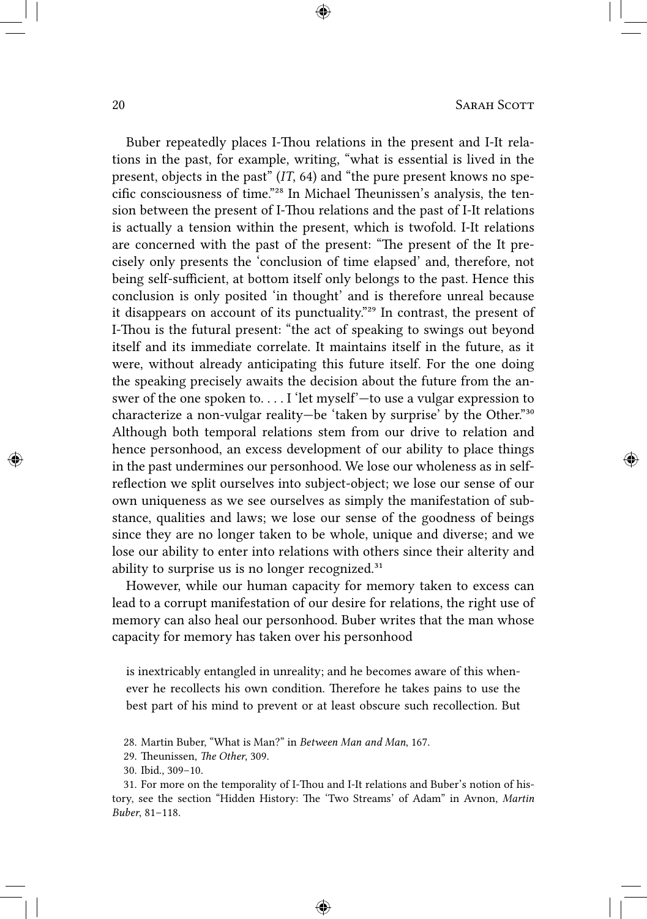Buber repeatedly places I-Thou relations in the present and I-It relations in the past, for example, writing, "what is essential is lived in the present, objects in the past" (*IT*, 64) and "the pure present knows no specific consciousness of time."<sup>28</sup> In Michael Theunissen's analysis, the tension between the present of I-Thou relations and the past of I-It relations is actually a tension within the present, which is twofold. I-It relations are concerned with the past of the present: "The present of the It precisely only presents the 'conclusion of time elapsed' and, therefore, not being self-sufficient, at bottom itself only belongs to the past. Hence this conclusion is only posited 'in thought' and is therefore unreal because it disappears on account of its punctuality."<sup>29</sup> In contrast, the present of I-Thou is the futural present: "the act of speaking to swings out beyond itself and its immediate correlate. It maintains itself in the future, as it were, without already anticipating this future itself. For the one doing the speaking precisely awaits the decision about the future from the answer of the one spoken to. . . . I 'let myself'—to use a vulgar expression to characterize a non-vulgar reality—be 'taken by surprise' by the Other."<sup>30</sup> Although both temporal relations stem from our drive to relation and hence personhood, an excess development of our ability to place things in the past undermines our personhood. We lose our wholeness as in selfreflection we split ourselves into subject-object; we lose our sense of our own uniqueness as we see ourselves as simply the manifestation of substance, qualities and laws; we lose our sense of the goodness of beings since they are no longer taken to be whole, unique and diverse; and we lose our ability to enter into relations with others since their alterity and ability to surprise us is no longer recognized. $31$ 

However, while our human capacity for memory taken to excess can lead to a corrupt manifestation of our desire for relations, the right use of memory can also heal our personhood. Buber writes that the man whose capacity for memory has taken over his personhood

is inextricably entangled in unreality; and he becomes aware of this whenever he recollects his own condition. Therefore he takes pains to use the best part of his mind to prevent or at least obscure such recollection. But

<sup>28.</sup> Martin Buber, "What is Man?" in *Between Man and Man*, 167.

<sup>29.</sup> Theunissen, *The Other*, 309.

<sup>30.</sup> Ibid., 309–10.

<sup>31.</sup> For more on the temporality of I-Thou and I-It relations and Buber's notion of history, see the section "Hidden History: The 'Two Streams' of Adam" in Avnon, *Martin Buber*, 81–118.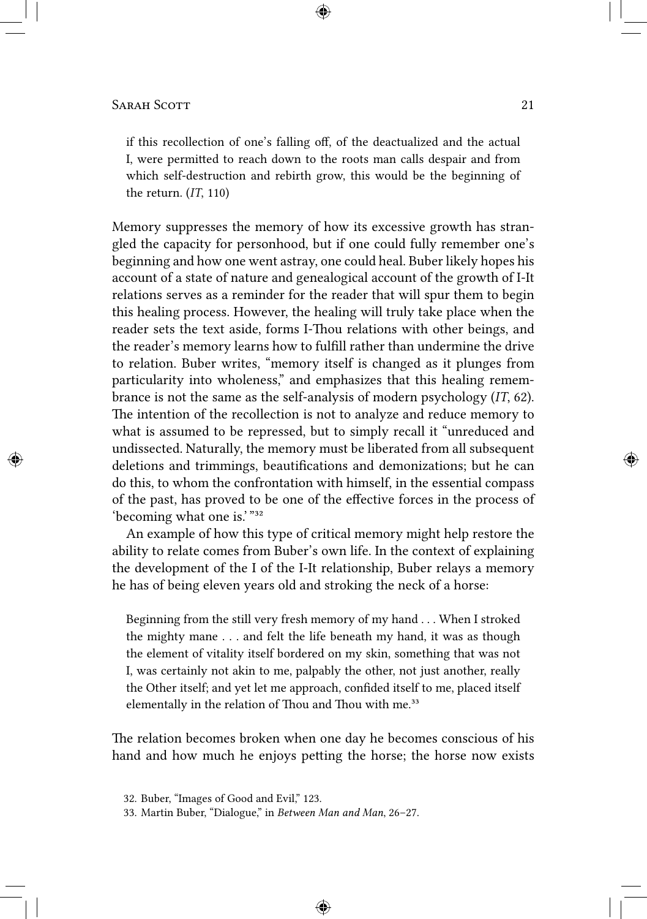if this recollection of one's falling off, of the deactualized and the actual I, were permitted to reach down to the roots man calls despair and from which self-destruction and rebirth grow, this would be the beginning of the return. (*IT*, 110)

Memory suppresses the memory of how its excessive growth has strangled the capacity for personhood, but if one could fully remember one's beginning and how one went astray, one could heal. Buber likely hopes his account of a state of nature and genealogical account of the growth of I-It relations serves as a reminder for the reader that will spur them to begin this healing process. However, the healing will truly take place when the reader sets the text aside, forms I-Thou relations with other beings, and the reader's memory learns how to fulfill rather than undermine the drive to relation. Buber writes, "memory itself is changed as it plunges from particularity into wholeness," and emphasizes that this healing remembrance is not the same as the self-analysis of modern psychology (*IT*, 62). The intention of the recollection is not to analyze and reduce memory to what is assumed to be repressed, but to simply recall it "unreduced and undissected. Naturally, the memory must be liberated from all subsequent deletions and trimmings, beautifications and demonizations; but he can do this, to whom the confrontation with himself, in the essential compass of the past, has proved to be one of the effective forces in the process of 'becoming what one is.' "³²

An example of how this type of critical memory might help restore the ability to relate comes from Buber's own life. In the context of explaining the development of the I of the I-It relationship, Buber relays a memory he has of being eleven years old and stroking the neck of a horse:

Beginning from the still very fresh memory of my hand . . . When I stroked the mighty mane . . . and felt the life beneath my hand, it was as though the element of vitality itself bordered on my skin, something that was not I, was certainly not akin to me, palpably the other, not just another, really the Other itself; and yet let me approach, confided itself to me, placed itself elementally in the relation of Thou and Thou with me.<sup>33</sup>

The relation becomes broken when one day he becomes conscious of his hand and how much he enjoys petting the horse; the horse now exists

<sup>32.</sup> Buber, "Images of Good and Evil," 123.

<sup>33.</sup> Martin Buber, "Dialogue," in *Between Man and Man*, 26–27.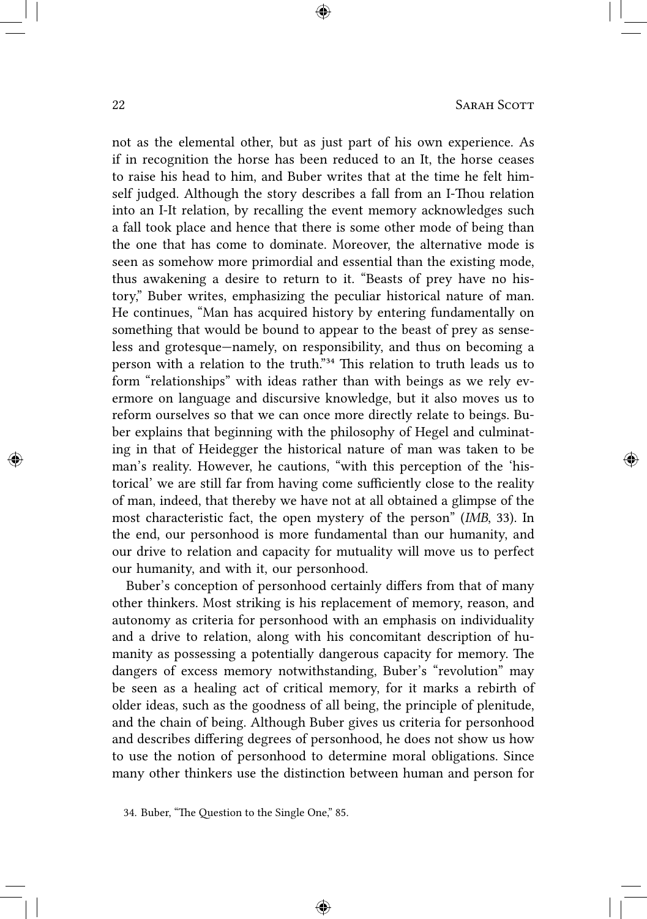not as the elemental other, but as just part of his own experience. As if in recognition the horse has been reduced to an It, the horse ceases to raise his head to him, and Buber writes that at the time he felt himself judged. Although the story describes a fall from an I-Thou relation into an I-It relation, by recalling the event memory acknowledges such a fall took place and hence that there is some other mode of being than the one that has come to dominate. Moreover, the alternative mode is seen as somehow more primordial and essential than the existing mode, thus awakening a desire to return to it. "Beasts of prey have no history," Buber writes, emphasizing the peculiar historical nature of man. He continues, "Man has acquired history by entering fundamentally on something that would be bound to appear to the beast of prey as senseless and grotesque—namely, on responsibility, and thus on becoming a person with a relation to the truth."<sup>34</sup> This relation to truth leads us to form "relationships" with ideas rather than with beings as we rely evermore on language and discursive knowledge, but it also moves us to reform ourselves so that we can once more directly relate to beings. Buber explains that beginning with the philosophy of Hegel and culminating in that of Heidegger the historical nature of man was taken to be man's reality. However, he cautions, "with this perception of the 'historical' we are still far from having come sufficiently close to the reality of man, indeed, that thereby we have not at all obtained a glimpse of the most characteristic fact, the open mystery of the person" (*IMB*, 33). In the end, our personhood is more fundamental than our humanity, and our drive to relation and capacity for mutuality will move us to perfect our humanity, and with it, our personhood.

Buber's conception of personhood certainly differs from that of many other thinkers. Most striking is his replacement of memory, reason, and autonomy as criteria for personhood with an emphasis on individuality and a drive to relation, along with his concomitant description of humanity as possessing a potentially dangerous capacity for memory. The dangers of excess memory notwithstanding, Buber's "revolution" may be seen as a healing act of critical memory, for it marks a rebirth of older ideas, such as the goodness of all being, the principle of plenitude, and the chain of being. Although Buber gives us criteria for personhood and describes differing degrees of personhood, he does not show us how to use the notion of personhood to determine moral obligations. Since many other thinkers use the distinction between human and person for

<sup>34.</sup> Buber, "The Question to the Single One," 85.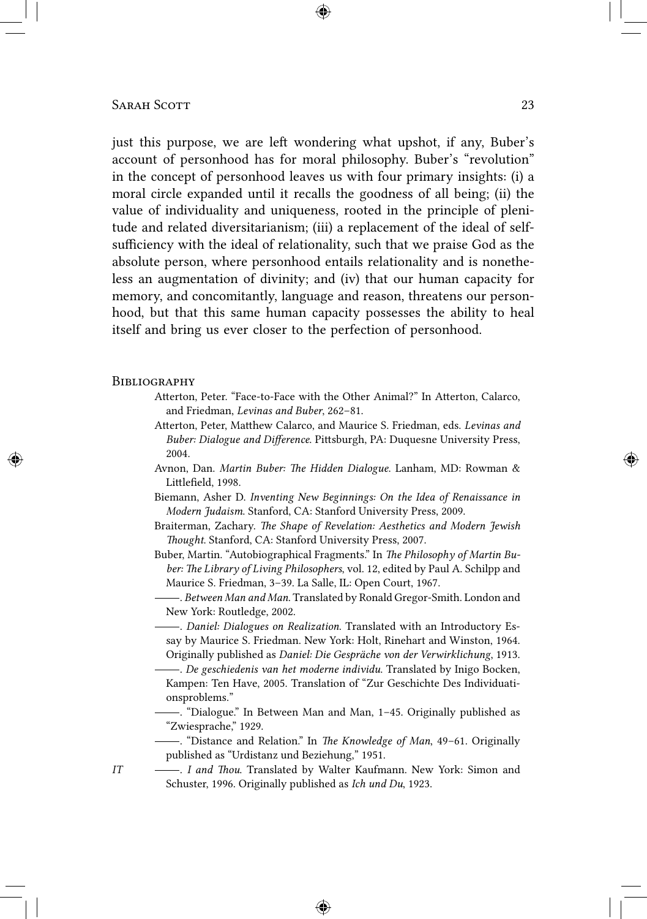just this purpose, we are left wondering what upshot, if any, Buber's account of personhood has for moral philosophy. Buber's "revolution" in the concept of personhood leaves us with four primary insights: (i) a moral circle expanded until it recalls the goodness of all being; (ii) the value of individuality and uniqueness, rooted in the principle of plenitude and related diversitarianism; (iii) a replacement of the ideal of selfsufficiency with the ideal of relationality, such that we praise God as the absolute person, where personhood entails relationality and is nonetheless an augmentation of divinity; and (iv) that our human capacity for memory, and concomitantly, language and reason, threatens our personhood, but that this same human capacity possesses the ability to heal itself and bring us ever closer to the perfection of personhood.

#### **BIBLIOGRAPHY**

- Atterton, Peter. "Face-to-Face with the Other Animal?" In Atterton, Calarco, and Friedman, *Levinas and Buber*, 262–81.
- Atterton, Peter, Matthew Calarco, and Maurice S. Friedman, eds. *Levinas and Buber: Dialogue and Difference*. Pittsburgh, PA: Duquesne University Press, 2004.
- Avnon, Dan. *Martin Buber: The Hidden Dialogue*. Lanham, MD: Rowman & Littlefield, 1998.
- Biemann, Asher D. *Inventing New Beginnings: On the Idea of Renaissance in Modern Judaism*. Stanford, CA: Stanford University Press, 2009.
- Braiterman, Zachary. *The Shape of Revelation: Aesthetics and Modern Jewish Thought*. Stanford, CA: Stanford University Press, 2007.
- Buber, Martin. "Autobiographical Fragments." In *The Philosophy of Martin Buber: The Library of Living Philosophers*, vol. 12, edited by Paul A. Schilpp and Maurice S. Friedman, 3–39. La Salle, IL: Open Court, 1967.
	- . *Between Man and Man*. Translated by Ronald Gregor-Smith. London and New York: Routledge, 2002.
- . *Daniel: Dialogues on Realization*. Translated with an Introductory Essay by Maurice S. Friedman. New York: Holt, Rinehart and Winston, 1964. Originally published as *Daniel: Die Gespräche von der Verwirklichung*, 1913.
- . *De geschiedenis van het moderne individu*. Translated by Inigo Bocken, Kampen: Ten Have, 2005. Translation of "Zur Geschichte Des Individuationsproblems."
- . "Dialogue." In Between Man and Man, 1–45. Originally published as "Zwiesprache," 1929.
- . "Distance and Relation." In *The Knowledge of Man*, 49–61. Originally published as "Urdistanz und Beziehung," 1951.
- *IT* . *I and Thou*. Translated by Walter Kaufmann. New York: Simon and Schuster, 1996. Originally published as *Ich und Du*, 1923.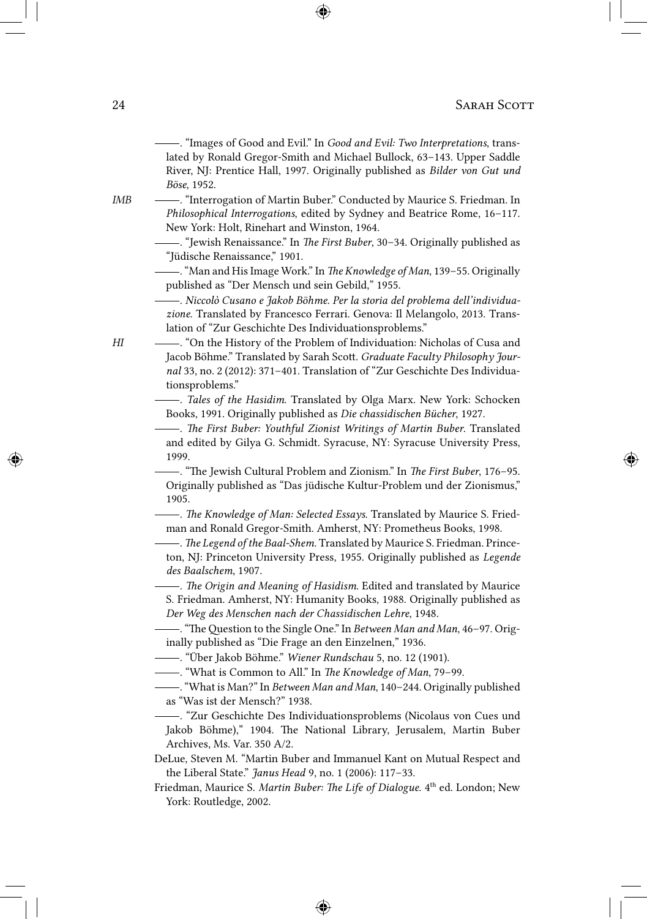. "Images of Good and Evil." In *Good and Evil: Two Interpretations*, translated by Ronald Gregor-Smith and Michael Bullock, 63–143. Upper Saddle River, NJ: Prentice Hall, 1997. Originally published as *Bilder von Gut und Böse*, 1952.

- *IMB* . "Interrogation of Martin Buber." Conducted by Maurice S. Friedman. In *Philosophical Interrogations*, edited by Sydney and Beatrice Rome, 16–117. New York: Holt, Rinehart and Winston, 1964.
	- . "Jewish Renaissance." In *The First Buber*, 30–34. Originally published as "Jüdische Renaissance," 1901.
	- ."Man and His Image Work." In *The Knowledge of Man*, 139–55. Originally published as "Der Mensch und sein Gebild," 1955.
		- . *Niccolò Cusano e Jakob Böhme. Per la storia del problema dell'individuazione*. Translated by Francesco Ferrari. Genova: Il Melangolo, 2013. Translation of "Zur Geschichte Des Individuationsproblems."
- *HI*  $\longrightarrow$  "On the History of the Problem of Individuation: Nicholas of Cusa and Jacob Böhme." Translated by Sarah Scott. *Graduate Faculty Philosophy Journal* 33, no. 2 (2012): 371–401. Translation of "Zur Geschichte Des Individuationsproblems."
	- . *Tales of the Hasidim*. Translated by Olga Marx. New York: Schocken Books, 1991. Originally published as *Die chassidischen Bücher*, 1927.
	- . *The First Buber: Youthful Zionist Writings of Martin Buber*. Translated and edited by Gilya G. Schmidt. Syracuse, NY: Syracuse University Press, 1999.

. "The Jewish Cultural Problem and Zionism." In *The First Buber*, 176–95. Originally published as "Das jüdische Kultur-Problem und der Zionismus," 1905.

- . *The Knowledge of Man: Selected Essays*. Translated by Maurice S. Friedman and Ronald Gregor-Smith. Amherst, NY: Prometheus Books, 1998.
- . *The Legend of the Baal-Shem*. Translated by Maurice S. Friedman. Princeton, NJ: Princeton University Press, 1955. Originally published as *Legende des Baalschem*, 1907.
- . *The Origin and Meaning of Hasidism*. Edited and translated by Maurice S. Friedman. Amherst, NY: Humanity Books, 1988. Originally published as *Der Weg des Menschen nach der Chassidischen Lehre*, 1948.
- . "The Question to the Single One." In *Between Man and Man*, 46–97. Originally published as "Die Frage an den Einzelnen," 1936.
- . "Über Jakob Böhme." *Wiener Rundschau* 5, no. 12 (1901).
- . "What is Common to All." In *The Knowledge of Man*, 79–99.
- ."What is Man?" In *Between Man and Man*, 140–244. Originally published as "Was ist der Mensch?" 1938.
- . "Zur Geschichte Des Individuationsproblems (Nicolaus von Cues und Jakob Böhme)," 1904. The National Library, Jerusalem, Martin Buber Archives, Ms. Var. 350 A/2.
- DeLue, Steven M. "Martin Buber and Immanuel Kant on Mutual Respect and the Liberal State." *Janus Head* 9, no. 1 (2006): 117–33.
- Friedman, Maurice S. *Martin Buber: The Life of Dialogue*. 4<sup>th</sup> ed. London; New York: Routledge, 2002.